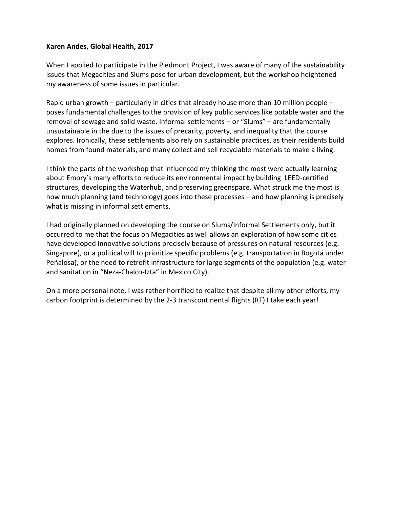#### **Karen Andes, Global Health, 2017**

When I applied to participate in the Piedmont Project, I was aware of many of the sustainability issues that Megacities and Slums pose for urban development, but the workshop heightened my awareness of some issues in particular.

Rapid urban growth – particularly in cities that already house more than 10 million people – poses fundamental challenges to the provision of key public services like potable water and the removal of sewage and solid waste. Informal settlements – or "Slums" – are fundamentally unsustainable in the due to the issues of precarity, poverty, and inequality that the course explores. Ironically, these settlements also rely on sustainable practices, as their residents build homes from found materials, and many collect and sell recyclable materials to make a living.

I think the parts of the workshop that influenced my thinking the most were actually learning about Emory's many efforts to reduce its environmental impact by building LEED-certified structures, developing the Waterhub, and preserving greenspace. What struck me the most is how much planning (and technology) goes into these processes – and how planning is precisely what is missing in informal settlements.

I had originally planned on developing the course on Slums/Informal Settlements only, but it occurred to me that the focus on Megacities as well allows an exploration of how some cities have developed innovative solutions precisely because of pressures on natural resources (e.g. Singapore), or a political will to prioritize specific problems (e.g. transportation in Bogotá under Peñalosa), or the need to retrofit infrastructure for large segments of the population (e.g. water and sanitation in "Neza-Chalco-Izta" in Mexico City).

On a more personal note, I was rather horrified to realize that despite all my other efforts, my carbon footprint is determined by the 2-3 transcontinental flights (RT) I take each year!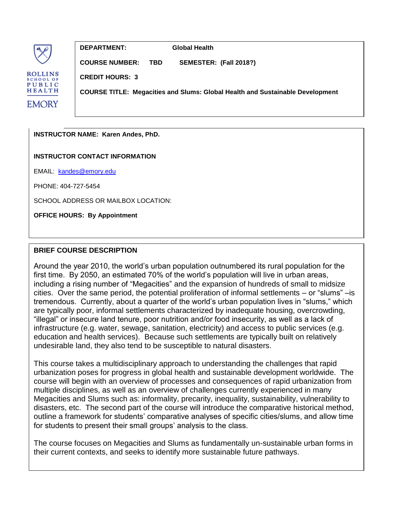

**DEPARTMENT: Global Health**

**COURSE NUMBER: TBD SEMESTER: (Fall 2018?)**

**CREDIT HOURS: 3**

**COURSE TITLE: Megacities and Slums: Global Health and Sustainable Development**

**INSTRUCTOR NAME: Karen Andes, PhD.**

**INSTRUCTOR CONTACT INFORMATION**

EMAIL: [kandes@emory.edu](mailto:kandes@emory.edu)

PHONE: 404-727-5454

SCHOOL ADDRESS OR MAILBOX LOCATION:

**OFFICE HOURS: By Appointment**

### **BRIEF COURSE DESCRIPTION**

Around the year 2010, the world's urban population outnumbered its rural population for the first time. By 2050, an estimated 70% of the world's population will live in urban areas, including a rising number of "Megacities" and the expansion of hundreds of small to midsize cities. Over the same period, the potential proliferation of informal settlements – or "slums" –is tremendous. Currently, about a quarter of the world's urban population lives in "slums," which are typically poor, informal settlements characterized by inadequate housing, overcrowding, "illegal" or insecure land tenure, poor nutrition and/or food insecurity, as well as a lack of infrastructure (e.g. water, sewage, sanitation, electricity) and access to public services (e.g. education and health services). Because such settlements are typically built on relatively undesirable land, they also tend to be susceptible to natural disasters.

This course takes a multidisciplinary approach to understanding the challenges that rapid urbanization poses for progress in global health and sustainable development worldwide. The course will begin with an overview of processes and consequences of rapid urbanization from multiple disciplines, as well as an overview of challenges currently experienced in many Megacities and Slums such as: informality, precarity, inequality, sustainability, vulnerability to disasters, etc. The second part of the course will introduce the comparative historical method, outline a framework for students' comparative analyses of specific cities/slums, and allow time for students to present their small groups' analysis to the class.

The course focuses on Megacities and Slums as fundamentally un-sustainable urban forms in their current contexts, and seeks to identify more sustainable future pathways.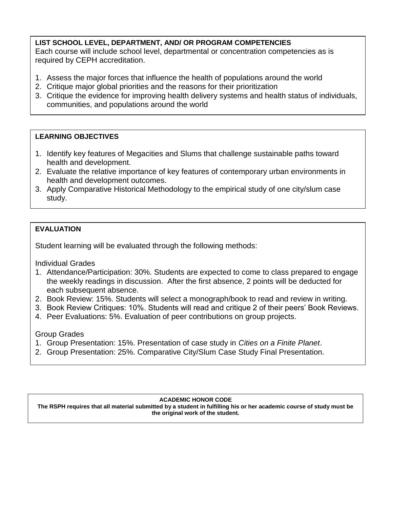## **LIST SCHOOL LEVEL, DEPARTMENT, AND/ OR PROGRAM COMPETENCIES** Each course will include school level, departmental or concentration competencies as is required by CEPH accreditation.

- 1. Assess the major forces that influence the health of populations around the world
- 2. Critique major global priorities and the reasons for their prioritization
- 3. Critique the evidence for improving health delivery systems and health status of individuals, communities, and populations around the world

## **LEARNING OBJECTIVES**

- 1. Identify key features of Megacities and Slums that challenge sustainable paths toward health and development.
- 2. Evaluate the relative importance of key features of contemporary urban environments in health and development outcomes.
- 3. Apply Comparative Historical Methodology to the empirical study of one city/slum case study.

# **EVALUATION**

Student learning will be evaluated through the following methods:

Individual Grades

- 1. Attendance/Participation: 30%. Students are expected to come to class prepared to engage the weekly readings in discussion. After the first absence, 2 points will be deducted for each subsequent absence.
- 2. Book Review: 15%. Students will select a monograph/book to read and review in writing.
- 3. Book Review Critiques: 10%. Students will read and critique 2 of their peers' Book Reviews.
- 4. Peer Evaluations: 5%. Evaluation of peer contributions on group projects.

### Group Grades

final grade (40% in total).

- 1. Group Presentation: 15%. Presentation of case study in *Cities on a Finite Planet*.
- 2. Group Presentation: 25%. Comparative City/Slum Case Study Final Presentation.

#### $1.1\pm 1.0\pm 1.0\pm 1.0\pm 1.0\pm 1.0\pm 1.0\pm 1.0\pm 1.0\pm 1.0\pm 1.0\pm 1.0\pm 1.0\pm 1.0\pm 1.0\pm 1.0\pm 1.0\pm 1.0\pm 1.0\pm 1.0\pm 1.0\pm 1.0\pm 1.0\pm 1.0\pm 1.0\pm 1.0\pm 1.0\pm 1.0\pm 1.0\pm 1.0\pm 1.0\pm 1.0\pm 1.0\pm 1.0\pm 1.0\pm 1.0\pm 1.0\$ **ACADEMIC HONOR CODE**

 $t = \frac{1}{2}$  . The course, students will be expected to write short pieces (approx. 1000 words each) will be each  $\frac{1}{2}$ The RSPH requires that all material submitted by a student in fulfilling his or her academic course of study must be<br>the exiginal wark of the etudent and original work of the stations. **the original work of the student.**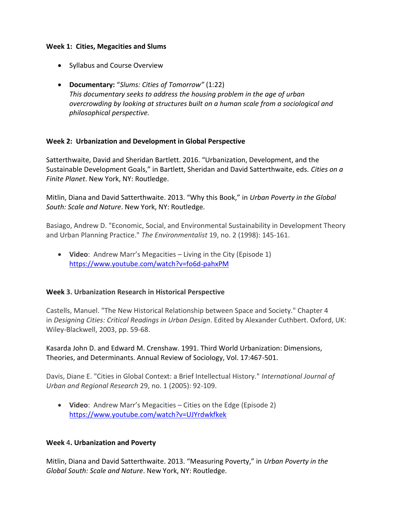### **Week 1: Cities, Megacities and Slums**

- Syllabus and Course Overview
- **Documentary:** "*Slums: Cities of Tomorrow"* (1:22) *This documentary seeks to address the housing problem in the age of urban overcrowding by looking at structures built on a human scale from a sociological and philosophical perspective.*

### **Week 2: Urbanization and Development in Global Perspective**

Satterthwaite, David and Sheridan Bartlett. 2016. "Urbanization, Development, and the Sustainable Development Goals," in Bartlett, Sheridan and David Satterthwaite, eds. *Cities on a Finite Planet*. New York, NY: Routledge.

Mitlin, Diana and David Satterthwaite. 2013. "Why this Book," in *Urban Poverty in the Global South: Scale and Nature*. New York, NY: Routledge.

Basiago, Andrew D. "Economic, Social, and Environmental Sustainability in Development Theory and Urban Planning Practice." *The Environmentalist* 19, no. 2 (1998): 145-161.

 **Video**: Andrew Marr's Megacities – Living in the City (Episode 1) <https://www.youtube.com/watch?v=fo6d-pahxPM>

### **Week 3. Urbanization Research in Historical Perspective**

Castells, Manuel. "The New Historical Relationship between Space and Society." Chapter 4 in *Designing Cities: Critical Readings in Urban Design*. Edited by Alexander Cuthbert. Oxford, UK: Wiley-Blackwell, 2003, pp. 59-68.

Kasarda John D. and Edward M. Crenshaw. 1991. Third World Urbanization: Dimensions, Theories, and Determinants. Annual Review of Sociology, Vol. 17:467-501.

Davis, Diane E. "Cities in Global Context: a Brief Intellectual History." *International Journal of Urban and Regional Research* 29, no. 1 (2005): 92-109.

 **Video**: Andrew Marr's Megacities – Cities on the Edge (Episode 2) <https://www.youtube.com/watch?v=UJYrdwkfkek>

#### **Week** 4**. Urbanization and Poverty**

Mitlin, Diana and David Satterthwaite. 2013. "Measuring Poverty," in *Urban Poverty in the Global South: Scale and Nature*. New York, NY: Routledge.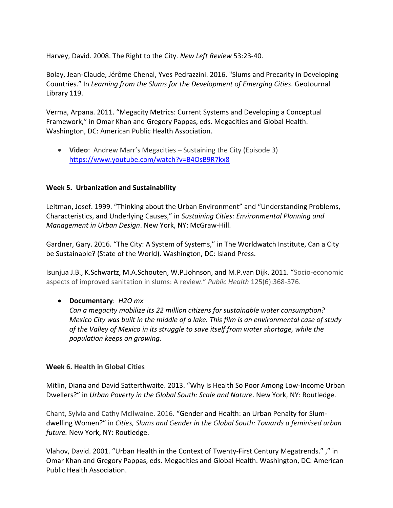Harvey, David. 2008. The Right to the City. *New Left Review* 53:23-40.

Bolay, Jean-Claude, Jérôme Chenal, Yves Pedrazzini. 2016. "Slums and Precarity in Developing Countries." In *Learning from the Slums for the [Development](http://www.springer.com/us/book/9783319317922) of Emerging Cities*. GeoJournal Library 119.

Verma, Arpana. 2011. "Megacity Metrics: Current Systems and Developing a Conceptual Framework," in Omar Khan and Gregory Pappas, eds. Megacities and Global Health. Washington, DC: American Public Health Association.

 **Video**: Andrew Marr's Megacities – Sustaining the City (Episode 3) <https://www.youtube.com/watch?v=B4OsB9R7kx8>

### **Week 5. Urbanization and Sustainability**

Leitman, Josef. 1999. "Thinking about the Urban Environment" and "Understanding Problems, Characteristics, and Underlying Causes," in *Sustaining Cities: Environmental Planning and Management in Urban Design*. New York, NY: McGraw-Hill.

Gardner, Gary. 2016. "The City: A System of Systems," in The Worldwatch Institute, Can a City be Sustainable? (State of the World). Washington, DC: Island Press.

Isunjua J.B., K.Schwartz, M.A.Schouten, W.P.Johnson, and M.P.van Dijk. 2011. "Socio-economic aspects of improved sanitation in slums: A review." *Public Health* 125(6):368-376.

### **Documentary**: *H2O mx*

*Can a megacity mobilize its 22 million citizens for sustainable water consumption? Mexico City was built in the middle of a lake. This film is an environmental case of study of the Valley of Mexico in its struggle to save itself from water shortage, while the population keeps on growing.*

### **Week 6. Health in Global Cities**

Mitlin, Diana and David Satterthwaite. 2013. "Why Is Health So Poor Among Low-Income Urban Dwellers?" in *Urban Poverty in the Global South: Scale and Nature*. New York, NY: Routledge.

Chant, Sylvia and Cathy McIlwaine. 2016. "Gender and Health: an Urban Penalty for Slumdwelling Women?" in *Cities, Slums and Gender in the Global South: Towards a feminised urban future.* New York, NY: Routledge.

Vlahov, David. 2001. "Urban Health in the Context of Twenty-First Century Megatrends." ," in Omar Khan and Gregory Pappas, eds. Megacities and Global Health. Washington, DC: American Public Health Association.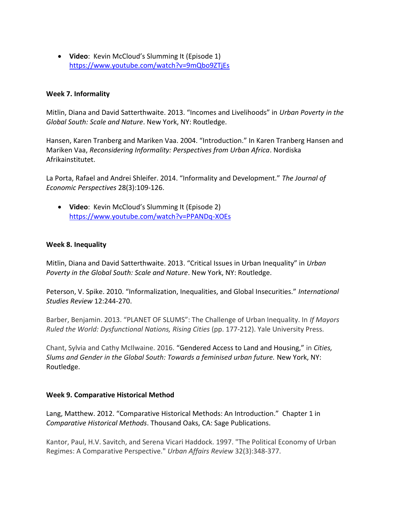**Video**: Kevin McCloud's Slumming It (Episode 1) <https://www.youtube.com/watch?v=9mQbo9ZTjEs>

### **Week 7. Informality**

Mitlin, Diana and David Satterthwaite. 2013. "Incomes and Livelihoods" in *Urban Poverty in the Global South: Scale and Nature*. New York, NY: Routledge.

Hansen, Karen Tranberg and Mariken Vaa. 2004. "Introduction." In Karen Tranberg Hansen and Mariken Vaa, *Reconsidering Informality: Perspectives from Urban Africa*. Nordiska Afrikainstitutet.

La Porta, Rafael and Andrei Shleifer. 2014. "Informality and Development." *The Journal of Economic Perspectives* 28(3):109-126.

 **Video**: Kevin McCloud's Slumming It (Episode 2) <https://www.youtube.com/watch?v=PPANDq-XOEs>

### **Week 8. Inequality**

Mitlin, Diana and David Satterthwaite. 2013. "Critical Issues in Urban Inequality" in *Urban Poverty in the Global South: Scale and Nature*. New York, NY: Routledge.

Peterson, V. Spike. 2010. "Informalization, Inequalities, and Global Insecurities." *International Studies Review* 12:244-270.

Barber, Benjamin. 2013. "PLANET OF SLUMS": The Challenge of Urban Inequality. In *If Mayors Ruled the World: Dysfunctional Nations, Rising Cities* (pp. 177-212). Yale University Press.

Chant, Sylvia and Cathy McIlwaine. 2016. "Gendered Access to Land and Housing," in *Cities, Slums and Gender in the Global South: Towards a feminised urban future.* New York, NY: Routledge.

### **Week 9. Comparative Historical Method**

Lang, Matthew. 2012. "Comparative Historical Methods: An Introduction." Chapter 1 in *Comparative Historical Methods*. Thousand Oaks, CA: Sage Publications.

Kantor, Paul, H.V. Savitch, and Serena Vicari Haddock. 1997. "The Political Economy of Urban Regimes: A Comparative Perspective." *Urban Affairs Review* 32(3):348-377.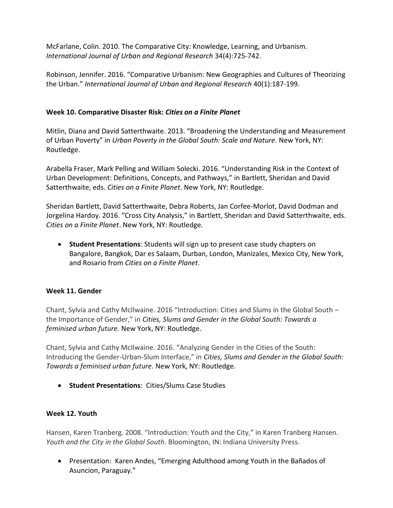McFarlane, Colin. 2010. The Comparative City: Knowledge, Learning, and Urbanism. *International Journal of Urban and Regional Research* 34(4):725-742.

Robinson, Jennifer. 2016. "Comparative Urbanism: New Geographies and Cultures of Theorizing the Urban." *International Journal of Urban and Regional Research* 40(1):187-199.

### **Week 10. Comparative Disaster Risk:** *Cities on a Finite Planet*

Mitlin, Diana and David Satterthwaite. 2013. "Broadening the Understanding and Measurement of Urban Poverty" in *Urban Poverty in the Global South: Scale and Nature*. New York, NY: Routledge.

Arabella Fraser, Mark Pelling and William Solecki. 2016. "Understanding Risk in the Context of Urban Development: Definitions, Concepts, and Pathways," in Bartlett, Sheridan and David Satterthwaite, eds. *Cities on a Finite Planet*. New York, NY: Routledge.

Sheridan Bartlett, David Satterthwaite, Debra Roberts, Jan Corfee-Morlot, David Dodman and Jorgelina Hardoy. 2016. "Cross City Analysis," in Bartlett, Sheridan and David Satterthwaite, eds. *Cities on a Finite Planet*. New York, NY: Routledge.

 **Student Presentations**: Students will sign up to present case study chapters on Bangalore, Bangkok, Dar es Salaam, Durban, London, Manizales, Mexico City, New York, and Rosario from *Cities on a Finite Planet*.

### **Week 11. Gender**

Chant, Sylvia and Cathy McIlwaine. 2016 "Introduction: Cities and Slums in the Global South – the Importance of Gender," in *Cities, Slums and Gender in the Global South: Towards a feminised urban future.* New York, NY: Routledge.

Chant, Sylvia and Cathy McIlwaine. 2016. "Analyzing Gender in the Cities of the South: Introducing the Gender-Urban-Slum Interface," in *Cities, Slums and Gender in the Global South: Towards a feminised urban future.* New York, NY: Routledge.

**Student Presentations**: Cities/Slums Case Studies

### **Week 12. Youth**

Hansen, Karen Tranberg. 2008. "Introduction: Youth and the City," in Karen Tranberg Hansen. *Youth and the City in the Global South*. Bloomington, IN: Indiana University Press.

 Presentation: Karen Andes, "Emerging Adulthood among Youth in the Bañados of Asuncion, Paraguay."